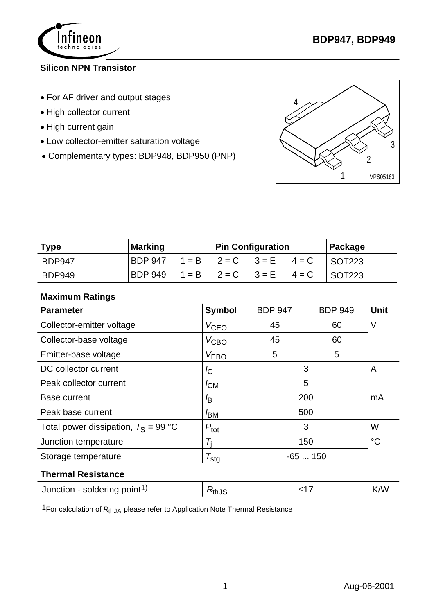

## **Silicon NPN Transistor**

- For AF driver and output stages
- High collector current
- High current gain
- Low collector-emitter saturation voltage
- Complementary types: BDP948, BDP950 (PNP)



| <b>Type</b>   | <b>Marking</b> | <b>Pin Configuration</b> |  |                                     |          | Package        |
|---------------|----------------|--------------------------|--|-------------------------------------|----------|----------------|
| <b>BDP947</b> | <b>BDP 947</b> | $1 = B$ $2 = C$ $3 = E$  |  |                                     | $ 4 = C$ | SOT223         |
| <b>BDP949</b> | BDP 949        |                          |  | $ 1 = B$ $ 2 = C$ $ 3 = E$ $ 4 = C$ |          | $\vert$ SOT223 |

## **Maximum Ratings**

| <b>Symbol</b>    | <b>BDP 947</b>   | <b>BDP 949</b> | <b>Unit</b>   |  |
|------------------|------------------|----------------|---------------|--|
| $V_{\text{CEO}}$ | 45               | 60             | V             |  |
| $V_{\text{CBO}}$ | 45               | 60             |               |  |
| V <sub>EBO</sub> | 5                | 5              |               |  |
| $\overline{C}$   |                  | A              |               |  |
| $I_{CM}$         | 5                |                |               |  |
| <sup>I</sup> B   |                  | mA             |               |  |
| <sup>I</sup> BM  | 500              |                |               |  |
| $P_{\text{tot}}$ |                  | W              |               |  |
| Ti               | 150              |                | $^{\circ}C$   |  |
|                  | $-65150$         |                |               |  |
|                  | $T_{\text{sto}}$ |                | 3<br>200<br>3 |  |

#### **Thermal Resistance**

| Junction - soldering point <sup>1)</sup> | <b>T</b> thu |  | Λ٨ |
|------------------------------------------|--------------|--|----|
|------------------------------------------|--------------|--|----|

1For calculation of *R*thJA please refer to Application Note Thermal Resistance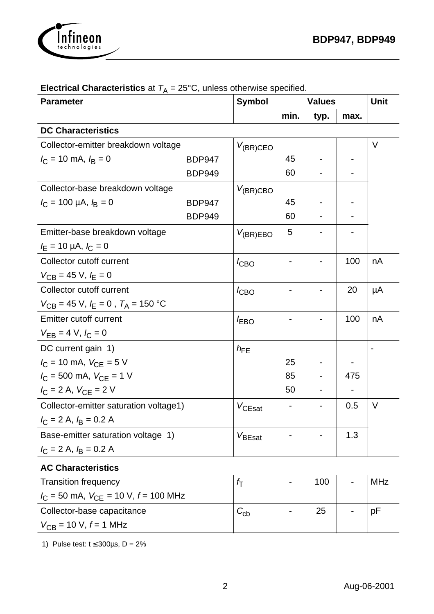

| <b>Parameter</b>                           |               | <b>Symbol</b>      | <b>Values</b> |      |      | Unit   |
|--------------------------------------------|---------------|--------------------|---------------|------|------|--------|
|                                            |               |                    | min.          | typ. | max. |        |
| <b>DC Characteristics</b>                  |               |                    |               |      |      |        |
| Collector-emitter breakdown voltage        |               | $V_{(BR)CEO}$      |               |      |      | V      |
| $I_C = 10$ mA, $I_B = 0$                   | <b>BDP947</b> |                    | 45            |      |      |        |
|                                            | <b>BDP949</b> |                    | 60            |      |      |        |
| Collector-base breakdown voltage           |               | $V_{(BR)CBO}$      |               |      |      |        |
| $I_C = 100 \mu A, I_B = 0$                 | <b>BDP947</b> |                    | 45            |      |      |        |
|                                            | <b>BDP949</b> |                    | 60            |      |      |        |
| Emitter-base breakdown voltage             |               | $V_{(BR)EBO}$      | 5             |      |      |        |
| $I_{E}$ = 10 µA, $I_{C}$ = 0               |               |                    |               |      |      |        |
| Collector cutoff current                   |               | $I_{CBO}$          |               |      | 100  | nA     |
| $V_{CB} = 45 \text{ V}, k_{E} = 0$         |               |                    |               |      |      |        |
| Collector cutoff current                   |               | $I_{CBO}$          |               |      | 20   | μA     |
| $V_{CB}$ = 45 V, $I_E$ = 0, $T_A$ = 150 °C |               |                    |               |      |      |        |
| <b>Emitter cutoff current</b>              |               | <b>EBO</b>         |               |      | 100  | nA     |
| $V_{EB} = 4 V, l_C = 0$                    |               |                    |               |      |      |        |
| DC current gain 1)                         |               | $h_{FE}$           |               |      |      |        |
| $I_C = 10$ mA, $V_{CE} = 5$ V              |               |                    | 25            |      |      |        |
| $I_C = 500$ mA, $V_{CE} = 1$ V             |               |                    | 85            |      | 475  |        |
| $I_C = 2 A$ , $V_{CE} = 2 V$               |               |                    | 50            |      |      |        |
| Collector-emitter saturation voltage1)     |               | $V_{CEsat}$        |               |      | 0.5  | $\vee$ |
| $I_C = 2$ A, $I_B = 0.2$ A                 |               |                    |               |      |      |        |
| Base-emitter saturation voltage 1)         |               | $V_{\text{BEsat}}$ |               |      | 1.3  |        |
| $I_C = 2 A$ , $I_B = 0.2 A$                |               |                    |               |      |      |        |
| <b>AC Characteristics</b>                  |               |                    |               |      |      |        |

### **Electrical Characteristics** at  $T_A = 25^{\circ}$ C, unless otherwise specified.

Transition frequency  $I_C = 50$  mA,  $V_{CE} = 10$  V,  $f = 100$  MHz  $f_T$  | - | 100 | - | MHz Collector-base capacitance  $V_{CB}$  = 10 V,  $f$  = 1 MHz  $C_{\mathsf{cb}}$  | - | 25 | - |pF

1) Pulse test:  $t \le 300 \mu s$ , D = 2%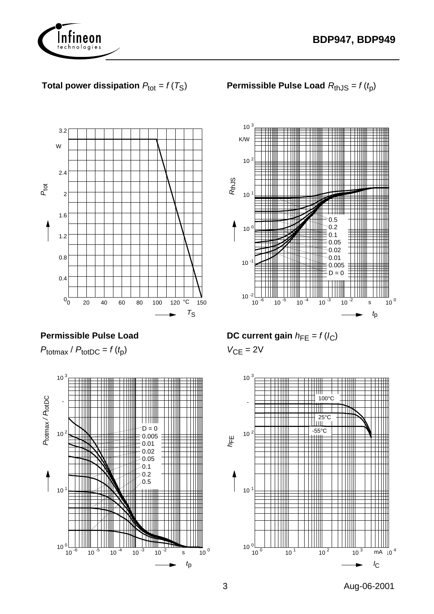



# **Total power dissipation**  $P_{\text{tot}} = f(T_S)$

0 20 40 60 80 100 120 °C 150  $T_S$  $0_0^-$ 0.4 0.8 1.2 1.6 2 2.4 W 3.2  $P_{\rm tot}$ 

**Permissible Pulse Load** 

 $P_{\text{totmax}}$  /  $P_{\text{totDC}} = f(t_p)$ 



**Permissible Pulse Load**  $R_{th,JS} = f(t_p)$ 



**DC current gain**  $h_{FE} = f(l_C)$ 

 $V_{CE} = 2V$ 



3 Aug-06-2001